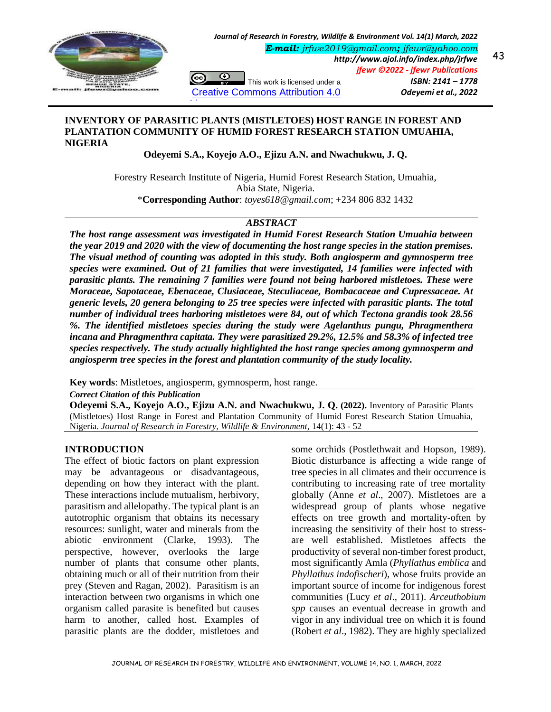

*E-mail: [jrfwe2019@gmail.com](mailto:jrfwe2019@gmail.com); [jfewr@yahoo.com](mailto:jfewr@yahoo.com)*

⊙ (cc) This work is licensed under a [Creative Commons Attribution 4.0](http://creativecommons.org/licenses/by/3.0/#_blank) 

*http://www.ajol.info/index.php/jrfwe jfewr ©2022 - jfewr Publications ISBN: 2141 – 1778 Odeyemi et al., 2022* 

## **INVENTORY OF PARASITIC PLANTS (MISTLETOES) HOST RANGE IN FOREST AND PLANTATION COMMUNITY OF HUMID FOREST RESEARCH STATION UMUAHIA, NIGERIA**

[License](http://creativecommons.org/licenses/by/3.0/#_blank)

**Odeyemi S.A., Koyejo A.O., Ejizu A.N. and Nwachukwu, J. Q.**

Forestry Research Institute of Nigeria, Humid Forest Research Station, Umuahia, Abia State, Nigeria. \***Corresponding Author**: *[toyes618@gmail.com](mailto:toyes618@gmail.com)*; +234 806 832 1432

# *ABSTRACT*

*The host range assessment was investigated in Humid Forest Research Station Umuahia between the year 2019 and 2020 with the view of documenting the host range species in the station premises. The visual method of counting was adopted in this study. Both angiosperm and gymnosperm tree species were examined. Out of 21 families that were investigated, 14 families were infected with parasitic plants. The remaining 7 families were found not being harbored mistletoes. These were Moraceae, Sapotaceae, Ebenaceae, Clusiaceae, Steculiaceae, Bombacaceae and Cupressaceae. At generic levels, 20 genera belonging to 25 tree species were infected with parasitic plants. The total number of individual trees harboring mistletoes were 84, out of which Tectona grandis took 28.56 %. The identified mistletoes species during the study were Agelanthus pungu, Phragmenthera incana and Phragmenthra capitata. They were parasitized 29.2%, 12.5% and 58.3% of infected tree species respectively. The study actually highlighted the host range species among gymnosperm and angiosperm tree species in the forest and plantation community of the study locality.*

**Key words**: Mistletoes, angiosperm, gymnosperm, host range.

*Correct Citation of this Publication*

**Odeyemi S.A., Koyejo A.O., Ejizu A.N. and Nwachukwu, J. Q. (2022).** Inventory of Parasitic Plants (Mistletoes) Host Range in Forest and Plantation Community of Humid Forest Research Station Umuahia, Nigeria. *Journal of Research in Forestry, Wildlife & Environment,* 14(1): 43 - 52

### **INTRODUCTION**

The effect of biotic factors on plant expression may be advantageous or disadvantageous, depending on how they interact with the plant. These interactions include mutualism, herbivory, parasitism and allelopathy. The typical plant is an autotrophic organism that obtains its necessary resources: sunlight, water and minerals from the abiotic environment (Clarke, 1993). The perspective, however, overlooks the large number of plants that consume other plants, obtaining much or all of their nutrition from their prey (Steven and Ragan, 2002). Parasitism is an interaction between two organisms in which one organism called parasite is benefited but causes harm to another, called host. Examples of parasitic plants are the dodder, mistletoes and

some orchids (Postlethwait and Hopson, 1989). Biotic disturbance is affecting a wide range of tree species in all climates and their occurrence is contributing to increasing rate of tree mortality globally (Anne *et al*., 2007). Mistletoes are a widespread group of plants whose negative effects on tree growth and mortality-often by increasing the sensitivity of their host to stressare well established. Mistletoes affects the productivity of several non-timber forest product, most significantly Amla (*Phyllathus emblica* and *Phyllathus indofischeri*), whose fruits provide an important source of income for indigenous forest communities (Lucy *et al*., 2011). *Arceuthobium spp* causes an eventual decrease in growth and vigor in any individual tree on which it is found (Robert *et al*., 1982). They are highly specialized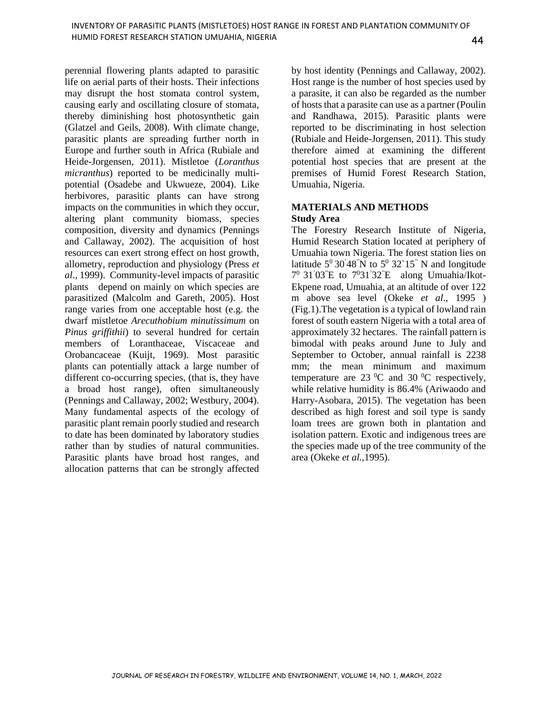perennial flowering plants adapted to parasitic life on aerial parts of their hosts. Their infections may disrupt the host stomata control system, causing early and oscillating closure of stomata, thereby diminishing host photosynthetic gain (Glatzel and Geils, 2008). With climate change, parasitic plants are spreading further north in Europe and further south in Africa (Rubiale and Heide-Jorgensen, 2011). Mistletoe (*Loranthus micranthus*) reported to be medicinally multipotential (Osadebe and Ukwueze, 2004). Like herbivores, parasitic plants can have strong impacts on the communities in which they occur, altering plant community biomass, species composition, diversity and dynamics (Pennings and Callaway, 2002). The acquisition of host resources can exert strong effect on host growth, allometry, reproduction and physiology (Press *et al*., 1999). Community-level impacts of parasitic plants depend on mainly on which species are parasitized (Malcolm and Gareth, 2005). Host range varies from one acceptable host (e.g. the dwarf mistletoe *Arecuthobium minutissimum* on *Pinus griffithii*) to several hundred for certain members of Loranthaceae, Viscaceae and Orobancaceae (Kuijt, 1969). Most parasitic plants can potentially attack a large number of different co-occurring species, (that is, they have a broad host range), often simultaneously (Pennings and Callaway, 2002; Westbury, 2004). Many fundamental aspects of the ecology of parasitic plant remain poorly studied and research to date has been dominated by laboratory studies rather than by studies of natural communities. Parasitic plants have broad host ranges, and allocation patterns that can be strongly affected

by host identity (Pennings and Callaway, 2002). Host range is the number of host species used by a parasite, it can also be regarded as the number of hosts that a parasite can use as a partner (Poulin and Randhawa, 2015). Parasitic plants were reported to be discriminating in host selection (Rubiale and Heide-Jorgensen, 2011). This study therefore aimed at examining the different potential host species that are present at the premises of Humid Forest Research Station, Umuahia, Nigeria.

### **MATERIALS AND METHODS Study Area**

The Forestry Research Institute of Nigeria, Humid Research Station located at periphery of Umuahia town Nigeria. The forest station lies on latitude  $5^{\circ}$  30'48"N to  $5^{\circ}$  32`15" N and longitude 7 0 31'03"E to 7031'32"E along Umuahia/Ikot-Ekpene road, Umuahia, at an altitude of over 122 m above sea level (Okeke *et al*., 1995 ) (Fig.1).The vegetation is a typical of lowland rain forest of south eastern Nigeria with a total area of approximately 32 hectares. The rainfall pattern is bimodal with peaks around June to July and September to October, annual rainfall is 2238 mm; the mean minimum and maximum temperature are 23  $\rm{^0C}$  and 30  $\rm{^0C}$  respectively, while relative humidity is 86.4% (Ariwaodo and Harry-Asobara, 2015). The vegetation has been described as high forest and soil type is sandy loam trees are grown both in plantation and isolation pattern. Exotic and indigenous trees are the species made up of the tree community of the area (Okeke *et al.,*1995).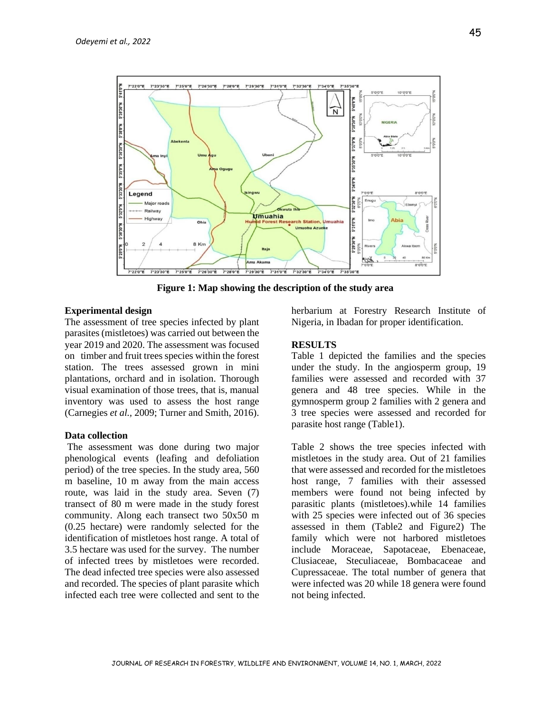

**Figure 1: Map showing the description of the study area**

#### **Experimental design**

The assessment of tree species infected by plant parasites (mistletoes) was carried out between the year 2019 and 2020. The assessment was focused on timber and fruit trees species within the forest station. The trees assessed grown in mini plantations, orchard and in isolation. Thorough visual examination of those trees, that is, manual inventory was used to assess the host range (Carnegies *et al.,* 2009; Turner and Smith, 2016).

#### **Data collection**

The assessment was done during two major phenological events (leafing and defoliation period) of the tree species. In the study area, 560 m baseline, 10 m away from the main access route, was laid in the study area. Seven (7) transect of 80 m were made in the study forest community. Along each transect two 50x50 m (0.25 hectare) were randomly selected for the identification of mistletoes host range. A total of 3.5 hectare was used for the survey. The number of infected trees by mistletoes were recorded. The dead infected tree species were also assessed and recorded. The species of plant parasite which infected each tree were collected and sent to the

herbarium at Forestry Research Institute of Nigeria, in Ibadan for proper identification.

#### **RESULTS**

Table 1 depicted the families and the species under the study. In the angiosperm group, 19 families were assessed and recorded with 37 genera and 48 tree species. While in the gymnosperm group 2 families with 2 genera and 3 tree species were assessed and recorded for parasite host range (Table1).

Table 2 shows the tree species infected with mistletoes in the study area. Out of 21 families that were assessed and recorded for the mistletoes host range, 7 families with their assessed members were found not being infected by parasitic plants (mistletoes).while 14 families with 25 species were infected out of 36 species assessed in them (Table2 and Figure2) The family which were not harbored mistletoes include Moraceae, Sapotaceae, Ebenaceae, Clusiaceae, Steculiaceae, Bombacaceae and Cupressaceae. The total number of genera that were infected was 20 while 18 genera were found not being infected.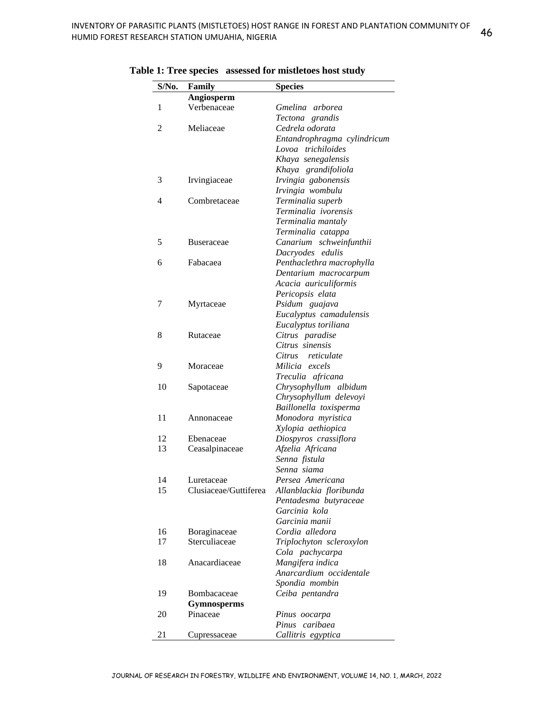| $S/N0$ .       | Family                | <b>Species</b>              |
|----------------|-----------------------|-----------------------------|
|                | Angiosperm            |                             |
| 1              | Verbenaceae           | Gmelina arborea             |
|                |                       | Tectona grandis             |
| $\overline{2}$ | Meliaceae             | Cedrela odorata             |
|                |                       | Entandrophragma cylindricum |
|                |                       | Lovoa trichiloides          |
|                |                       | Khaya senegalensis          |
|                |                       | Khaya grandifoliola         |
| 3              | Irvingiaceae          | Irvingia gabonensis         |
|                |                       | Irvingia wombulu            |
| 4              | Combretaceae          | Terminalia superb           |
|                |                       | Terminalia ivorensis        |
|                |                       | Terminalia mantaly          |
|                |                       | Terminalia catappa          |
| 5              | <b>Buseraceae</b>     | Canarium schweinfunthii     |
|                |                       | Dacryodes edulis            |
| 6              | Fabacaea              | Penthaclethra macrophylla   |
|                |                       | Dentarium macrocarpum       |
|                |                       | Acacia auriculiformis       |
|                |                       | Pericopsis elata            |
| 7              | Myrtaceae             | Psidum guajava              |
|                |                       | Eucalyptus camadulensis     |
|                |                       | Eucalyptus toriliana        |
| 8              | Rutaceae              | Citrus paradise             |
|                |                       | Citrus sinensis             |
|                |                       | Citrus<br>reticulate        |
| 9              | Moraceae              | Milicia excels              |
|                |                       | Treculia africana           |
| 10             | Sapotaceae            | Chrysophyllum albidum       |
|                |                       | Chrysophyllum delevoyi      |
|                |                       | Baillonella toxisperma      |
| 11             | Annonaceae            | Monodora myristica          |
|                |                       | Xylopia aethiopica          |
| 12             | Ebenaceae             | Diospyros crassiflora       |
| 13             | Ceasalpinaceae        | Afzelia Africana            |
|                |                       | Senna fistula               |
|                |                       | Senna siama                 |
| 14             | Luretaceae            | Persea Americana            |
| 15             | Clusiaceae/Guttiferea | Allanblackia floribunda     |
|                |                       | Pentadesma butyraceae       |
|                |                       | Garcinia kola               |
|                |                       | Garcinia manii              |
| 16             | Boraginaceae          | Cordia alledora             |
| 17             | Sterculiaceae         | Triplochyton scleroxylon    |
|                |                       | Cola pachycarpa             |
| 18             | Anacardiaceae         | Mangifera indica            |
|                |                       | Anarcardium occidentale     |
|                |                       | Spondia mombin              |
| 19             | Bombacaceae           | Ceiba pentandra             |
|                | <b>Gymnosperms</b>    |                             |
| 20             | Pinaceae              | Pinus oocarpa               |
|                |                       | caribaea<br>Pinus           |
| 21             | Cupressaceae          | Callitris egyptica          |

**Table 1: Tree species assessed for mistletoes host study**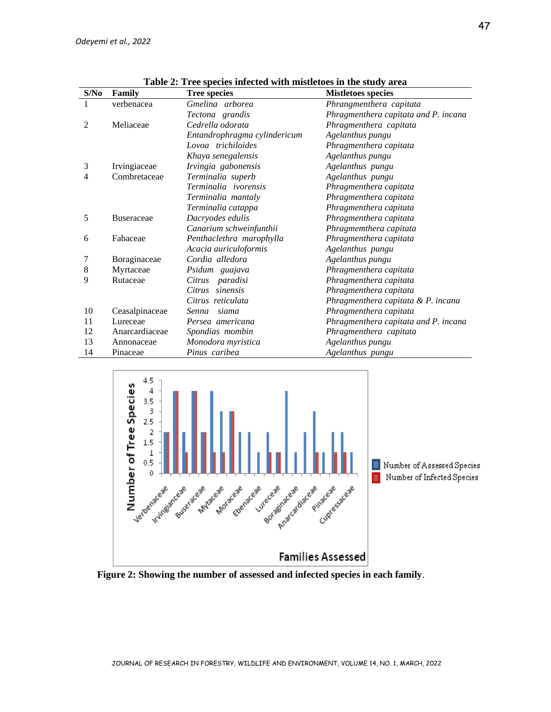| S/No | Family            | Table 2. Tree species infected with inistretoes in the study area<br><b>Tree species</b> | <b>Mistletoes species</b>            |
|------|-------------------|------------------------------------------------------------------------------------------|--------------------------------------|
| 1    | verbenacea        | Gmelina arborea                                                                          | Phrangmenthera capitata              |
|      |                   | Tectona grandis                                                                          | Phragmenthera capitata and P. incana |
| 2    | Meliaceae         | Cedrella odorata                                                                         | Phragmenthera capitata               |
|      |                   | Entandrophragma cylindericum                                                             | Agelanthus pungu                     |
|      |                   | Lovoa trichiloides                                                                       | Phragmenthera capitata               |
|      |                   | Khaya senegalensis                                                                       | Agelanthus pungu                     |
| 3    | Irvingiaceae      | Irvingia gabonensis                                                                      | Agelanthus pungu                     |
| 4    | Combretaceae      | Terminalia superb                                                                        | Agelanthus pungu                     |
|      |                   | Terminalia ivorensis                                                                     | Phragmenthera capitata               |
|      |                   | Terminalia mantaly                                                                       | Phragmenthera capitata               |
|      |                   | Terminalia catappa                                                                       | Phragmenthera capitata               |
| 5    | <b>Buseraceae</b> | Dacryodes edulis                                                                         | Phragmenthera capitata               |
|      |                   | Canarium schweinfunthii                                                                  | Phragmemthera capitata               |
| 6    | Fabaceae          | Penthaclethra marophylla                                                                 | Phragmenthera capitata               |
|      |                   | Acacia auriculoformis                                                                    | Agelanthus pungu                     |
| 7    | Boraginaceae      | Cordia alledora                                                                          | Agelanthus pungu                     |
| 8    | Myrtaceae         | Psidum guajava                                                                           | Phragmenthera capitata               |
| 9    | Rutaceae          | Citrus<br>paradisi                                                                       | Phragmenthera capitata               |
|      |                   | sinensis<br>Citrus                                                                       | Phragmenthera capitata               |
|      |                   | Citrus reticulata                                                                        | Phragmenthera capitata & P. incana   |
| 10   | Ceasalpinaceae    | Senna<br>siama                                                                           | Phragmenthera capitata               |
| 11   | Lureceae          | Persea americana                                                                         | Phragmenthera capitata and P. incana |
| 12   | Anarcardiaceae    | Spondias mombin                                                                          | Phragmenthera capitata               |
| 13   | Annonaceae        | Monodora myristica                                                                       | Agelanthus pungu                     |
| 14   | Pinaceae          | Pinus caribea                                                                            | Agelanthus pungu                     |

**Table 2: Tree species infected with mistletoes in the study area**



 **Figure 2: Showing the number of assessed and infected species in each family**.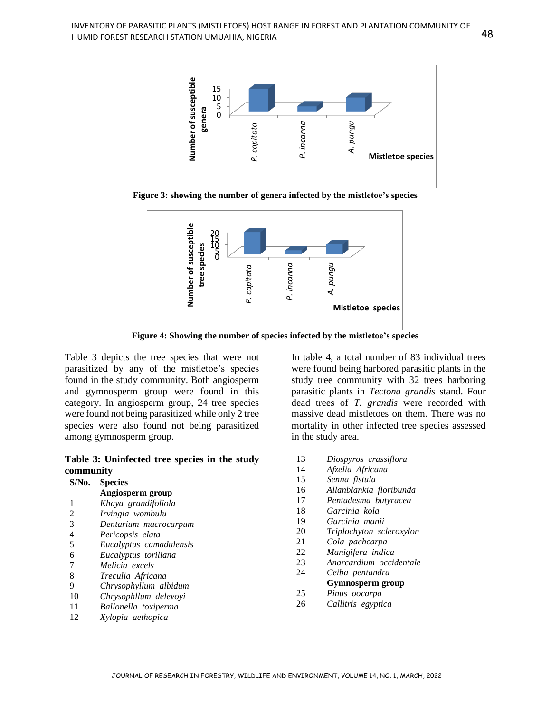

**Figure 3: showing the number of genera infected by the mistletoe's species**



**Figure 4: Showing the number of species infected by the mistletoe's species**

Table 3 depicts the tree species that were not parasitized by any of the mistletoe's species found in the study community. Both angiosperm and gymnosperm group were found in this category. In angiosperm group, 24 tree species were found not being parasitized while only 2 tree species were also found not being parasitized among gymnosperm group.

**Table 3: Uninfected tree species in the study community**

| $S/N0$ . | <b>Species</b>          |
|----------|-------------------------|
|          | Angiosperm group        |
| 1        | Khaya grandifoliola     |
| 2        | Irvingia wombulu        |
| 3        | Dentarium macrocarpum   |
| 4        | Pericopsis elata        |
| 5        | Eucalyptus camadulensis |
| 6        | Eucalyptus toriliana    |
| 7        | Melicia excels          |
| 8        | Treculia Africana       |
| 9        | Chrysophyllum albidum   |
| 10       | Chrysophllum delevoyi   |
| 11       | Ballonella toxiperma    |
| 12       | Xylopia aethopica       |

In table 4, a total number of 83 individual trees were found being harbored parasitic plants in the study tree community with 32 trees harboring parasitic plants in *Tectona grandis* stand. Four dead trees of *T. grandis* were recorded with massive dead mistletoes on them. There was no mortality in other infected tree species assessed in the study area.

 *Diospyros crassiflora Afzelia Africana Senna fistula Allanblankia floribunda Pentadesma butyracea Garcinia kola Garcinia manii Triplochyton scleroxylon Cola pachcarpa Manigifera indica Anarcardium occidentale Ceiba pentandra* **Gymnosperm group** *Pinus oocarpa Callitris egyptica*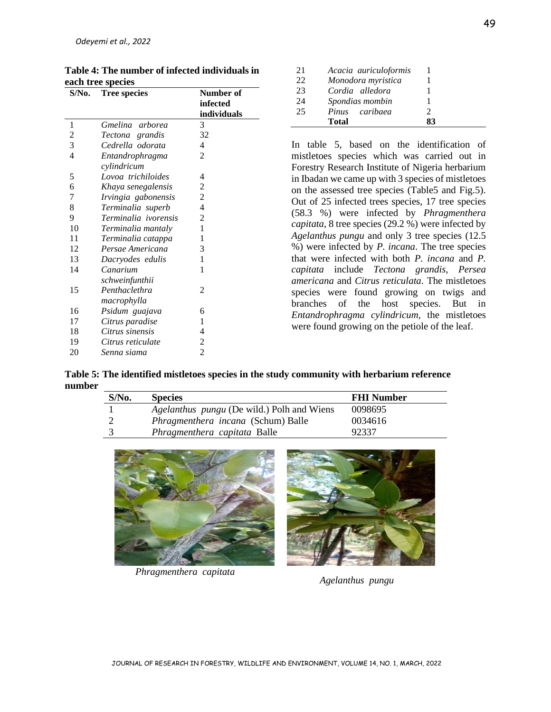| $S/N0$ .       | <b>Tree species</b>  | Number of      |
|----------------|----------------------|----------------|
|                |                      | infected       |
|                |                      | individuals    |
| 1              | Gmelina arborea      | 3              |
| $\overline{c}$ | Tectona grandis      | 32             |
| 3              | Cedrella odorata     | 4              |
| $\overline{4}$ | Entandrophragma      | 2              |
|                | cylindricum          |                |
| 5              | Lovoa trichiloides   | 4              |
| 6              | Khaya senegalensis   | 2              |
| 7              | Irvingia gabonensis  | $\overline{c}$ |
| 8              | Terminalia superb    | 4              |
| 9              | Terminalia ivorensis | $\overline{c}$ |
| 10             | Terminalia mantaly   | 1              |
| 11             | Terminalia catappa   | 1              |
| 12             | Persae Americana     | 3              |
| 13             | Dacryodes edulis     | 1              |
| 14             | Canarium             | 1              |
|                | schweinfunthii       |                |
| 15             | Penthaclethra        | 2              |
|                | macrophylla          |                |
| 16             | Psidum guajava       | 6              |
| 17             | Citrus paradise      | 1              |
| 18             | Citrus sinensis      | $\overline{4}$ |
| 19             | Citrus reticulate    | $\overline{c}$ |
| 20             | Senna siama          | $\overline{c}$ |

| Table 4: The number of infected individuals in |
|------------------------------------------------|
| each tree species                              |

| 21 | Acacia auriculoformis |    |
|----|-----------------------|----|
| 22 | Monodora myristica    |    |
| 23 | Cordia alledora       |    |
| 24 | Spondias mombin       |    |
| 25 | Pinus caribaea        | 2  |
|    | <b>Total</b>          | 83 |

In table 5, based on the identification of mistletoes species which was carried out in Forestry Research Institute of Nigeria herbarium in Ibadan we came up with 3 species of mistletoes on the assessed tree species (Table5 and Fig.5). Out of 25 infected trees species, 17 tree species (58.3 %) were infected by *Phragmenthera capitata*, 8 tree species (29.2 %) were infected by *Agelanthus pungu* and only 3 tree species (12.5 %) were infected by *P. incana*. The tree species that were infected with both *P. incana* and *P. capitata* include *Tectona grandis, Persea americana* and *Citrus reticulata*. The mistletoes species were found growing on twigs and branches of the host species. But in *Entandrophragma cylindricum,* the mistletoes were found growing on the petiole of the leaf.

**Table 5: The identified mistletoes species in the study community with herbarium reference number**

| $S/N0$ . | <b>Species</b>                                    | <b>FHI Number</b> |
|----------|---------------------------------------------------|-------------------|
|          | <i>Agelanthus pungu</i> (De wild.) Polh and Wiens | 0098695           |
|          | <i>Phragmenthera incana</i> (Schum) Balle         | 0034616           |
|          | Phragmenthera capitata Balle                      | 92337             |



 *Phragmenthera capitata*

 *Agelanthus pungu*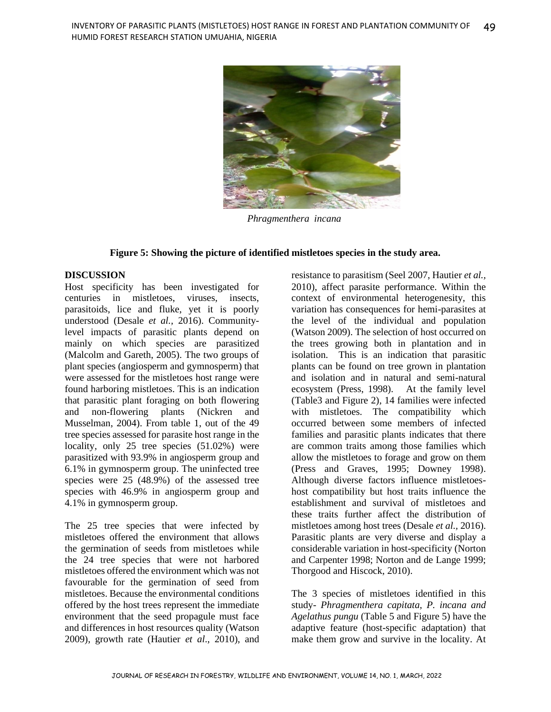

 *Phragmenthera incana*

### **Figure 5: Showing the picture of identified mistletoes species in the study area.**

### **DISCUSSION**

Host specificity has been investigated for centuries in mistletoes, viruses, insects, parasitoids, lice and fluke, yet it is poorly understood (Desale *et al.,* 2016). Communitylevel impacts of parasitic plants depend on mainly on which species are parasitized (Malcolm and Gareth, 2005). The two groups of plant species (angiosperm and gymnosperm) that were assessed for the mistletoes host range were found harboring mistletoes. This is an indication that parasitic plant foraging on both flowering and non-flowering plants (Nickren and Musselman, 2004). From table 1, out of the 49 tree species assessed for parasite host range in the locality, only 25 tree species  $(51.02%)$  were parasitized with 93.9% in angiosperm group and 6.1% in gymnosperm group. The uninfected tree species were 25 (48.9%) of the assessed tree species with 46.9% in angiosperm group and 4.1% in gymnosperm group.

The 25 tree species that were infected by mistletoes offered the environment that allows the germination of seeds from mistletoes while the 24 tree species that were not harbored mistletoes offered the environment which was not favourable for the germination of seed from mistletoes. Because the environmental conditions offered by the host trees represent the immediate environment that the seed propagule must face and differences in host resources quality (Watson 2009), growth rate (Hautier *et al*., 2010), and

resistance to parasitism (Seel 2007, Hautier *et al.,* 2010), affect parasite performance. Within the context of environmental heterogenesity, this variation has consequences for hemi-parasites at the level of the individual and population (Watson 2009). The selection of host occurred on the trees growing both in plantation and in isolation. This is an indication that parasitic plants can be found on tree grown in plantation and isolation and in natural and semi-natural ecosystem (Press, 1998). At the family level (Table3 and Figure 2), 14 families were infected with mistletoes. The compatibility which occurred between some members of infected families and parasitic plants indicates that there are common traits among those families which allow the mistletoes to forage and grow on them (Press and Graves, 1995; Downey 1998). Although diverse factors influence mistletoeshost compatibility but host traits influence the establishment and survival of mistletoes and these traits further affect the distribution of mistletoes among host trees (Desale *et al.,* 2016). Parasitic plants are very diverse and display a considerable variation in host-specificity (Norton and Carpenter 1998; Norton and de Lange 1999; Thorgood and Hiscock, 2010).

The 3 species of mistletoes identified in this study- *Phragmenthera capitata, P. incana and Agelathus pungu* (Table 5 and Figure 5) have the adaptive feature (host-specific adaptation) that make them grow and survive in the locality. At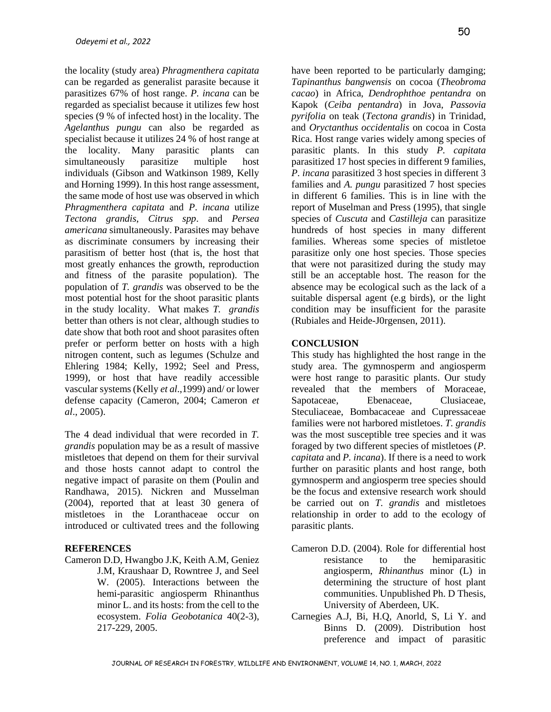the locality (study area) *Phragmenthera capitata* can be regarded as generalist parasite because it parasitizes 67% of host range. *P. incana* can be regarded as specialist because it utilizes few host species (9 % of infected host) in the locality. The *Agelanthus pungu* can also be regarded as specialist because it utilizes 24 % of host range at the locality. Many parasitic plants can simultaneously parasitize multiple host individuals (Gibson and Watkinson 1989, Kelly and Horning 1999). In this host range assessment, the same mode of host use was observed in which *Phragmenthera capitata* and *P*. *incana* utilize *Tectona grandis*, *Citrus spp*. and *Persea americana* simultaneously. Parasites may behave as discriminate consumers by increasing their parasitism of better host (that is, the host that most greatly enhances the growth, reproduction and fitness of the parasite population). The population of *T. grandis* was observed to be the most potential host for the shoot parasitic plants in the study locality. What makes *T. grandis* better than others is not clear, although studies to date show that both root and shoot parasites often prefer or perform better on hosts with a high nitrogen content, such as legumes (Schulze and Ehlering 1984; Kelly, 1992; Seel and Press, 1999), or host that have readily accessible vascular systems (Kelly *et al*.,1999) and/ or lower defense capacity (Cameron, 2004; Cameron *et al*., 2005).

The 4 dead individual that were recorded in *T. grandis* population may be as a result of massive mistletoes that depend on them for their survival and those hosts cannot adapt to control the negative impact of parasite on them (Poulin and Randhawa, 2015). Nickren and Musselman (2004), reported that at least 30 genera of mistletoes in the Loranthaceae occur on introduced or cultivated trees and the following

### **REFERENCES**

Cameron D.D, Hwangbo J.K, Keith A.M, Geniez J.M, Kraushaar D, Rowntree J, and Seel W. (2005). Interactions between the hemi-parasitic angiosperm Rhinanthus minor L. and its hosts: from the cell to the ecosystem. *Folia Geobotanica* 40(2-3), 217-229, 2005.

have been reported to be particularly damging; *Tapinanthus bangwensis* on cocoa (*Theobroma*  33 *cacao*) in Africa, *Dendrophthoe pentandra* on 33 Kapok (*Ceiba pentandra*) in Jova, *Passovia pyrifolia* on teak (*Tectona grandis*) in Trinidad, 33 and *Oryctanthus occidentalis* on cocoa in Costa 33 Rica. Host range varies widely among species of parasitic plants. In this study *P. capitata* parasitized 17 host species in different 9 families, *P. incana* parasitized 3 host species in different 3 33 families and *A. pungu* parasitized 7 host species in different 6 families. This is in line with the report of Muselman and Press (1995), that single species of *Cuscuta* and *Castilleja* can parasitize hundreds of host species in many different families. Whereas some species of mistletoe parasitize only one host species. Those species that were not parasitized during the study may still be an acceptable host. The reason for the absence may be ecological such as the lack of a suitable dispersal agent (e.g birds), or the light condition may be insufficient for the parasite (Rubiales and Heide-J0rgensen, 2011).

### **CONCLUSION**

This study has highlighted the host range in the 33 study area. The gymnosperm and angiosperm were host range to parasitic plants. Our study revealed that the members of Moraceae, Sapotaceae, Ebenaceae, Steculiaceae, Bombacaceae and Cupressaceae families were not harbored mistletoes. *T. grandis* rannies were not naroored instructors. *1*. granals was the most susceptible tree species and it was foraged by two different species of mistletoes (*P*. 33 *capitata* and *P. incana*). If there is a need to work 33 further on parasitic plants and host range, both gymnosperm and angiosperm tree species should be the focus and extensive research work should be carried out on *T. grandis* and mistletoes be carried out on *1*. *grands* and inistences relationship in order to add to the ecology of parasitic plants. Clusiaceae.

- Cameron D.D. (2004). Role for differential host resistance to the hemiparasitic angiosperm, *Rhinanthus* minor (L) in 33 determining the structure of host plant communities. Unpublished Ph. D Thesis, University of Aberdeen, UK.
- Carnegies A.J, Bi, H.Q, Anorld, S, Li Y. and Binns D. (2009). Distribution host preference and impact of parasitic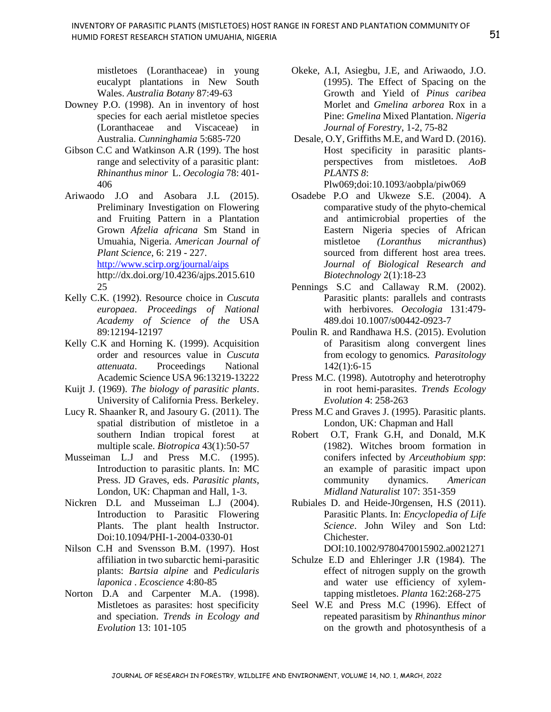mistletoes (Loranthaceae) in young eucalypt plantations in New South Wales. *Australia Botany* 87:49-63

- Downey P.O. (1998). An in inventory of host species for each aerial mistletoe species (Loranthaceae and Viscaceae) in Australia. *Cunninghamia* 5:685-720
- Gibson C.C and Watkinson A.R (199). The host range and selectivity of a parasitic plant: *Rhinanthus minor* L. *Oecologia* 78: 401- 406
- Ariwaodo J.O and Asobara J.L (2015). Preliminary Investigation on Flowering and Fruiting Pattern in a Plantation Grown *Afzelia africana* Sm Stand in Umuahia, Nigeria. *American Journal of Plant Science*, 6: 219 - 227. <http://www.scirp.org/journal/aips> http://dx.doi.org/10.4236/ajps.2015.610 25
- Kelly C.K. (1992). Resource choice in *Cuscuta europaea*. *Proceedings of National Academy of Science of the* USA 89:12194-12197
- Kelly C.K and Horning K. (1999). Acquisition order and resources value in *Cuscuta attenuata*. Proceedings National Academic Science USA 96:13219-13222
- Kuijt J. (1969). *The biology of parasitic plants*. University of California Press. Berkeley.
- Lucy R. Shaanker R, and Jasoury G. (2011). The spatial distribution of mistletoe in a southern Indian tropical forest at multiple scale. *Biotropica* 43(1):50-57
- Musseiman L.J and Press M.C. (1995). Introduction to parasitic plants. In: MC Press. JD Graves, eds. *Parasitic plants*, London, UK: Chapman and Hall, 1-3.
- Nickren D.L and Musseiman L.J (2004). Introduction to Parasitic Flowering Plants. The plant health Instructor. Doi:10.1094/PHI-1-2004-0330-01
- Nilson C.H and Svensson B.M. (1997). Host affiliation in two subarctic hemi-parasitic plants: *Bartsia alpine* and *Pedicularis laponica* . *Ecoscience* 4:80-85
- Norton D.A and Carpenter M.A. (1998). Mistletoes as parasites: host specificity and speciation. *Trends in Ecology and Evolution* 13: 101-105
- Okeke, A.I, Asiegbu, J.E, and Ariwaodo, J.O. (1995). The Effect of Spacing on the Growth and Yield of *Pinus caribea* Morlet and *Gmelina arborea* Rox in a Pine: *Gmelina* Mixed Plantation. *Nigeria Journal of Forestry*, 1-2, 75-82
- Desale, O.Y, Griffiths M.E, and Ward D. (2016). Host specificity in parasitic plantsperspectives from mistletoes. *AoB PLANTS 8*:

Plw069;doi:10.1093/aobpla/piw069

- Osadebe P.O and Ukweze S.E. (2004). A comparative study of the phyto-chemical and antimicrobial properties of the Eastern Nigeria species of African mistletoe *(Loranthus micranthus*) sourced from different host area trees. *Journal of Biological Research and Biotechnology* 2(1):18-23
- Pennings S.C and Callaway R.M. (2002). Parasitic plants: parallels and contrasts with herbivores. *Oecologia* 131:479- 489.doi 10.1007/s00442-0923-7
- Poulin R. and Randhawa H.S. (2015). Evolution of Parasitism along convergent lines from ecology to genomics*. Parasitology* 142(1):6-15
- Press M.C. (1998). Autotrophy and heterotrophy in root hemi-parasites. *Trends Ecology Evolution* 4: 258-263
- Press M.C and Graves J. (1995). Parasitic plants. London, UK: Chapman and Hall
- Robert O.T, Frank G.H, and Donald, M.K (1982). Witches broom formation in conifers infected by *Arceuthobium spp*: an example of parasitic impact upon community dynamics. *American Midland Naturalist* 107: 351-359
- Rubiales D. and Heide-J0rgensen, H.S (2011). Parasitic Plants. In: *Encyclopedia of Life Science*. John Wiley and Son Ltd: **Chichester**

DOI:10.1002/9780470015902.a0021271

- Schulze E.D and Ehleringer J.R (1984). The effect of nitrogen supply on the growth and water use efficiency of xylemtapping mistletoes. *Planta* 162:268-275
- Seel W.E and Press M.C (1996). Effect of repeated parasitism by *Rhinanthus minor* on the growth and photosynthesis of a